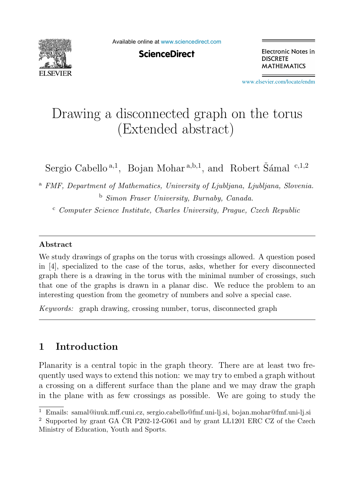

Available online at [www.sciencedirect.com](http://www.sciencedirect.com)

**ScienceDirect** 

Electronic Notes in **DISCRETE MATHEMATICS** 

[www.elsevier.com/locate/endm](http://www.elsevier.com/locate/endm)

# Drawing a disconnected graph on the torus (Extended abstract)

Sergio Cabello<sup>a,1</sup>, Bojan Mohar<sup>a,b,1</sup>, and Robert Šámal <sup>c,1,2</sup>

<sup>a</sup> *FMF, Department of Mathematics, University of Ljubljana, Ljubljana, Slovenia.* <sup>b</sup> *Simon Fraser University, Burnaby, Canada.*

<sup>c</sup> *Computer Science Institute, Charles University, Prague, Czech Republic*

#### **Abstract**

We study drawings of graphs on the torus with crossings allowed. A question posed in [4], specialized to the case of the torus, asks, whether for every disconnected graph there is a drawing in the torus with the minimal number of crossings, such that one of the graphs is drawn in a planar disc. We reduce the problem to an interesting question from the geometry of numbers and solve a special case.

*Keywords:* graph drawing, crossing number, torus, disconnected graph

## **1 Introduction**

Planarity is a central topic in the graph theory. There are at least two frequently used ways to extend this notion: we may try to embed a graph without a crossing on a different surface than the plane and we may draw the graph in the plane with as few crossings as possible. We are going to study the

<sup>1</sup> Emails: samal@iuuk.mff.cuni.cz, sergio.cabello@fmf.uni-lj.si, bojan.mohar@fmf.uni-lj.si

 $2$  Supported by grant GA ČR P202-12-G061 and by grant LL1201 ERC CZ of the Czech Ministry of Education, Youth and Sports.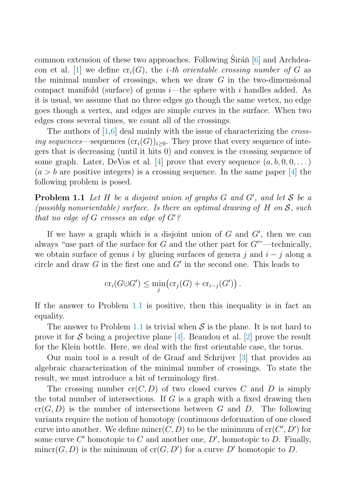<span id="page-1-0"></span>common extension of these two approaches. Following  $Sir\tilde{a}$  and Archdea-con et al. [\[1\]](#page-7-0) we define  $cr_i(G)$ , the *i*-th orientable crossing number of G as the minimal number of crossings, when we draw  $G$  in the two-dimensional compact manifold (surface) of genus  $i$ —the sphere with i handles added. As it is usual, we assume that no three edges go though the same vertex, no edge goes though a vertex, and edges are simple curves in the surface. When two edges cross several times, we count all of the crossings.

The authors of [\[1,6\]](#page-7-0) deal mainly with the issue of characterizing the *cross*ing sequences—sequences  $(\text{cr}_i(G))_{i>0}$ . They prove that every sequence of integers that is decreasing (until it hits 0) and convex is the crossing sequence of some graph. Later, DeVos et al. [\[4\]](#page-7-0) prove that every sequence  $(a, b, 0, 0, \ldots)$  $(a > b$  are positive integers) is a crossing sequence. In the same paper [\[4\]](#page-7-0) the following problem is posed.

**Problem 1.1** Let  $H$  be a disjoint union of graphs  $G$  and  $G'$ , and let  $S$  be a (possibly nonorientable) surface. Is there an optimal drawing of H on  $\mathcal{S}$ , such that no edge of  $G$  crosses an edge of  $G$ '?

If we have a graph which is a disjoint union of  $G$  and  $G'$ , then we can always "use part of the surface for  $G$  and the other part for  $G''$  -technically, we obtain surface of genus i by glueing surfaces of genera j and  $i - j$  along a circle and draw  $G$  in the first one and  $G'$  in the second one. This leads to

$$
\operatorname{cr}_i(G\cup G')\leq \min_j\bigl(\operatorname{cr}_j(G)+\operatorname{cr}_{i-j}(G')\bigr)\,.
$$

If the answer to Problem 1.1 is positive, then this inequality is in fact an equality.

The answer to Problem 1.1 is trivial when  $S$  is the plane. It is not hard to prove it for S being a projective plane [\[4\]](#page-7-0). Beaudou et al. [\[2\]](#page-7-0) prove the result for the Klein bottle. Here, we deal with the first orientable case, the torus.

Our main tool is a result of de Graaf and Schrijver [\[3\]](#page-7-0) that provides an algebraic characterization of the minimal number of crossings. To state the result, we must introduce a bit of terminology first.

The crossing number  $cr(C, D)$  of two closed curves C and D is simply the total number of intersections. If  $G$  is a graph with a fixed drawing then  $cr(G, D)$  is the number of intersections between G and D. The following variants require the notion of homotopy (continuous deformation of one closed curve into another. We define  $\text{mincr}(C, D)$  to be the minimum of  $\text{cr}(C', D')$  for some curve C' homotopic to C and another one,  $D'$ , homotopic to D. Finally,  $\text{mincr}(G, D)$  is the minimum of  $\text{cr}(G, D')$  for a curve D' homotopic to D.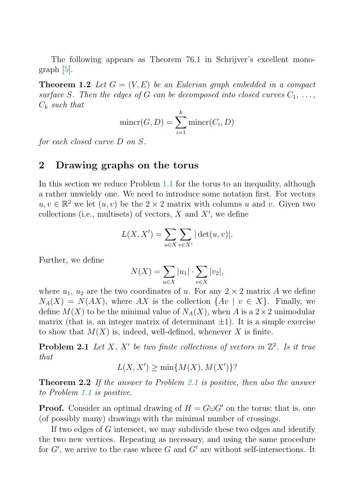<span id="page-2-0"></span>The following appears as Theorem 76.1 in Schrijver's excellent monograph [\[5\]](#page-7-0).

**Theorem 1.2** Let  $G = (V, E)$  be an Eulerian graph embedded in a compact surface S. Then the edges of G can be decomposed into closed curves  $C_1, \ldots$ ,  $C_k$  such that

$$
\text{mincr}(G, D) = \sum_{i=1}^{k} \text{mincr}(C_i, D)
$$

for each closed curve D on S.

#### **2 Drawing graphs on the torus**

In this section we reduce Problem [1.1](#page-1-0) for the torus to an inequality, although a rather unwieldy one. We need to introduce some notation first. For vectors  $u, v \in \mathbb{R}^2$  we let  $(u, v)$  be the  $2 \times 2$  matrix with columns u and v. Given two collections (i.e., multisets) of vectors,  $X$  and  $X'$ , we define

$$
L(X, X') = \sum_{u \in X} \sum_{v \in X'} |\det(u, v)|.
$$

Further, we define

$$
N(X) = \sum_{u \in X} |u_1| \cdot \sum_{v \in X} |v_2|,
$$

where  $u_1, u_2$  are the two coordinates of u. For any  $2 \times 2$  matrix A we define  $N_A(X) = N(AX)$ , where AX is the collection  $\{Av \mid v \in X\}$ . Finally, we define  $M(X)$  to be the minimal value of  $N_A(X)$ , when A is a  $2 \times 2$  unimodular matrix (that is, an integer matrix of determinant  $\pm 1$ ). It is a simple exercise to show that  $M(X)$  is, indeed, well-defined, whenever X is finite.

**Problem 2.1** Let X, X' be two finite collections of vectors in  $\mathbb{Z}^2$ . Is it true that

$$
L(X, X') \ge \min\{M(X), M(X')\}
$$
?

**Theorem 2.2** If the answer to Problem 2.1 is positive, then also the answer to Problem [1.1](#page-1-0) is positive.

**Proof.** Consider an optimal drawing of  $H = G \cup G'$  on the torus; that is, one (of possibly many) drawings with the minimal number of crossings.

If two edges of G intersect, we may subdivide these two edges and identify the two new vertices. Repeating as necessary, and using the same procedure for  $G'$ , we arrive to the case where G and  $G'$  are without self-intersections. It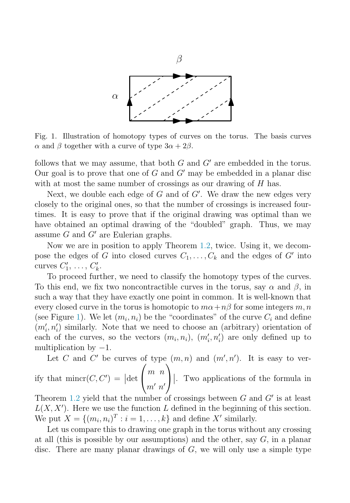

Fig. 1. Illustration of homotopy types of curves on the torus. The basis curves  $\alpha$  and  $\beta$  together with a curve of type  $3\alpha + 2\beta$ .

follows that we may assume, that both  $G$  and  $G'$  are embedded in the torus. Our goal is to prove that one of  $G$  and  $G'$  may be embedded in a planar disc with at most the same number of crossings as our drawing of  $H$  has.

Next, we double each edge of  $G$  and of  $G'$ . We draw the new edges very closely to the original ones, so that the number of crossings is increased fourtimes. It is easy to prove that if the original drawing was optimal than we have obtained an optimal drawing of the "doubled" graph. Thus, we may assume  $G$  and  $G'$  are Eulerian graphs.

Now we are in position to apply Theorem [1.2,](#page-2-0) twice. Using it, we decompose the edges of G into closed curves  $C_1, \ldots, C_k$  and the edges of G' into curves  $C'_1, \ldots, C'_k$ .

To proceed further, we need to classify the homotopy types of the curves. To this end, we fix two noncontractible curves in the torus, say  $\alpha$  and  $\beta$ , in such a way that they have exactly one point in common. It is well-known that every closed curve in the torus is homotopic to  $m\alpha+n\beta$  for some integers m, n (see Figure 1). We let  $(m_i, n_i)$  be the "coordinates" of the curve  $C_i$  and define  $(m'_i, n'_i)$  similarly. Note that we need to choose an (arbitrary) orientation of each of the curves, so the vectors  $(m_i, n_i)$ ,  $(m'_i, n'_i)$  are only defined up to multiplication by  $-1$ .

Let C and C' be curves of type  $(m, n)$  and  $(m', n')$ . It is easy to verify that  $\text{minor}(C, C') = |\text{det}$  $\sqrt{ }$  $\sqrt{2}$ m n  $m'$   $n'$  $\setminus$ ⎠ . Two applications of the formula in

Theorem [1.2](#page-2-0) yield that the number of crossings between  $G$  and  $G'$  is at least  $L(X, X')$ . Here we use the function L defined in the beginning of this section. We put  $X = \{(m_i, n_i)^T : i = 1, \ldots, k\}$  and define X' similarly.

Let us compare this to drawing one graph in the torus without any crossing at all (this is possible by our assumptions) and the other, say  $G$ , in a planar disc. There are many planar drawings of  $G$ , we will only use a simple type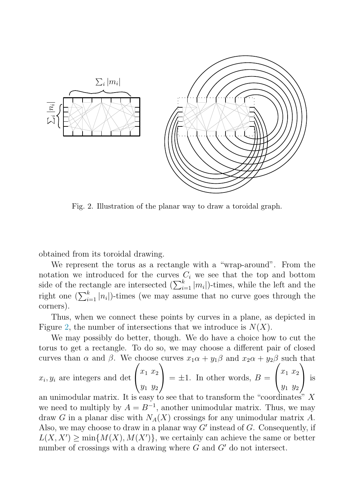

Fig. 2. Illustration of the planar way to draw a toroidal graph.

obtained from its toroidal drawing.

We represent the torus as a rectangle with a "wrap-around". From the notation we introduced for the curves  $C_i$  we see that the top and bottom side of the rectangle are intersected  $(\sum_{i=1}^{k} |m_i|)$ -times, while the left and the right one  $\left(\sum_{i=1}^k |n_i|\right)$ -times (we may assume that no curve goes through the corners).

Thus, when we connect these points by curves in a plane, as depicted in Figure 2, the number of intersections that we introduce is  $N(X)$ .

We may possibly do better, though. We do have a choice how to cut the torus to get a rectangle. To do so, we may choose a different pair of closed curves than  $\alpha$  and  $\beta$ . We choose curves  $x_1\alpha + y_1\beta$  and  $x_2\alpha + y_2\beta$  such that

$$
x_i, y_i
$$
 are integers and det  $\begin{pmatrix} x_1 & x_2 \ y_1 & y_2 \end{pmatrix} = \pm 1$ . In other words,  $B = \begin{pmatrix} x_1 & x_2 \ y_1 & y_2 \end{pmatrix}$  is

an unimodular matrix. It is easy to see that to transform the "coordinates" X we need to multiply by  $A = B^{-1}$ , another unimodular matrix. Thus, we may draw G in a planar disc with  $N_A(X)$  crossings for any unimodular matrix A. Also, we may choose to draw in a planar way  $G'$  instead of  $G$ . Consequently, if  $L(X, X') \ge \min\{M(X), M(X')\}$ , we certainly can achieve the same or better number of crossings with a drawing where  $G$  and  $G'$  do not intersect.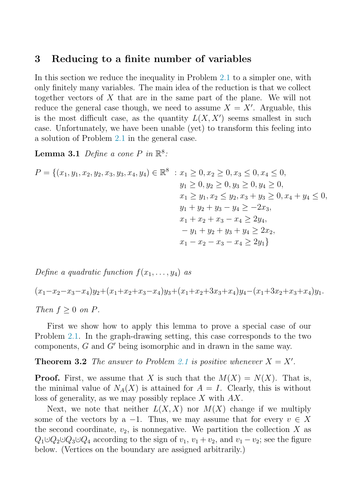#### <span id="page-5-0"></span>**3 Reducing to a finite number of variables**

In this section we reduce the inequality in Problem [2.1](#page-2-0) to a simpler one, with only finitely many variables. The main idea of the reduction is that we collect together vectors of X that are in the same part of the plane. We will not reduce the general case though, we need to assume  $X = X'$ . Arguable, this is the most difficult case, as the quantity  $L(X, X')$  seems smallest in such case. Unfortunately, we have been unable (yet) to transform this feeling into a solution of Problem [2.1](#page-2-0) in the general case.

**Lemma 3.1** Define a cone P in  $\mathbb{R}^8$ :

$$
P = \{(x_1, y_1, x_2, y_2, x_3, y_3, x_4, y_4) \in \mathbb{R}^8 : x_1 \ge 0, x_2 \ge 0, x_3 \le 0, x_4 \le 0, \ny_1 \ge 0, y_2 \ge 0, y_3 \ge 0, y_4 \ge 0, \nx_1 \ge y_1, x_2 \le y_2, x_3 + y_3 \ge 0, x_4 + y_4 \le 0, \ny_1 + y_2 + y_3 - y_4 \ge -2x_3, \nx_1 + x_2 + x_3 - x_4 \ge 2y_4, \n-y_1 + y_2 + y_3 + y_4 \ge 2x_2, \nx_1 - x_2 - x_3 - x_4 \ge 2y_1\}
$$

Define a quadratic function  $f(x_1,...,y_4)$  as

 $(x_1-x_2-x_3-x_4)y_2+(x_1+x_2+x_3-x_4)y_3+(x_1+x_2+3x_3+x_4)y_4-(x_1+3x_2+x_3+x_4)y_1.$ Then  $f \geq 0$  on P.

First we show how to apply this lemma to prove a special case of our Problem [2.1.](#page-2-0) In the graph-drawing setting, this case corresponds to the two components,  $G$  and  $G'$  being isomorphic and in drawn in the same way.

**Theorem 3.2** The answer to Problem [2.1](#page-2-0) is positive whenever  $X = X'$ .

**Proof.** First, we assume that X is such that the  $M(X) = N(X)$ . That is, the minimal value of  $N_A(X)$  is attained for  $A = I$ . Clearly, this is without loss of generality, as we may possibly replace X with AX.

Next, we note that neither  $L(X, X)$  nor  $M(X)$  change if we multiply some of the vectors by a -1. Thus, we may assume that for every  $v \in X$ the second coordinate,  $v_2$ , is nonnegative. We partition the collection X as  $Q_1 \cup Q_2 \cup Q_3 \cup Q_4$  according to the sign of  $v_1, v_1 + v_2$ , and  $v_1 - v_2$ ; see the figure below. (Vertices on the boundary are assigned arbitrarily.)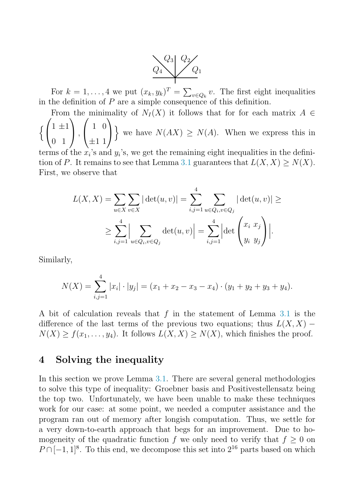

For  $k = 1, ..., 4$  we put  $(x_k, y_k)^T = \sum_{v \in Q_k} v$ . The first eight inequalities in the definition of  $P$  are a simple consequence of this definition.

From the minimality of  $N_I(X)$  it follows that for for each matrix  $A \in$ Į  $\sqrt{2}$  $\mathcal{L}$  $1 \pm 1$ 0 1  $\setminus$  $\vert$ ,  $\sqrt{ }$  $\sqrt{2}$ 1 0  $\pm 1$  1  $\setminus$  $\overline{I}$ we have  $N(AX) \geq N(A)$ . When we express this in

terms of the  $x_i$ 's and  $y_i$ 's, we get the remaining eight inequalities in the defini-tion of P. It remains to see that Lemma [3.1](#page-5-0) guarantees that  $L(X, X) \ge N(X)$ . First, we observe that

$$
L(X, X) = \sum_{u \in X} \sum_{v \in X} |\det(u, v)| = \sum_{i,j=1}^{4} \sum_{u \in Q_i, v \in Q_j} |\det(u, v)| \ge
$$
  
 
$$
\ge \sum_{i,j=1}^{4} \Big| \sum_{u \in Q_i, v \in Q_j} \det(u, v) \Big| = \sum_{i,j=1}^{4} \Big| \det \begin{pmatrix} x_i & x_j \\ y_i & y_j \end{pmatrix} \Big|.
$$

Similarly,

$$
N(X) = \sum_{i,j=1}^{4} |x_i| \cdot |y_j| = (x_1 + x_2 - x_3 - x_4) \cdot (y_1 + y_2 + y_3 + y_4).
$$

A bit of calculation reveals that f in the statement of Lemma [3.1](#page-5-0) is the difference of the last terms of the previous two equations; thus  $L(X, X)$  −  $N(X) \ge f(x_1,\ldots,y_4)$ . It follows  $L(X,X) \ge N(X)$ , which finishes the proof.

### **4 Solving the inequality**

In this section we prove Lemma [3.1.](#page-5-0) There are several general methodologies to solve this type of inequality: Groebner basis and Positivestellensatz being the top two. Unfortunately, we have been unable to make these techniques work for our case: at some point, we needed a computer assistance and the program ran out of memory after longish computation. Thus, we settle for a very down-to-earth approach that begs for an improvement. Due to homogeneity of the quadratic function f we only need to verify that  $f \geq 0$  on  $P \cap [-1,1]^8$ . To this end, we decompose this set into  $2^{16}$  parts based on which